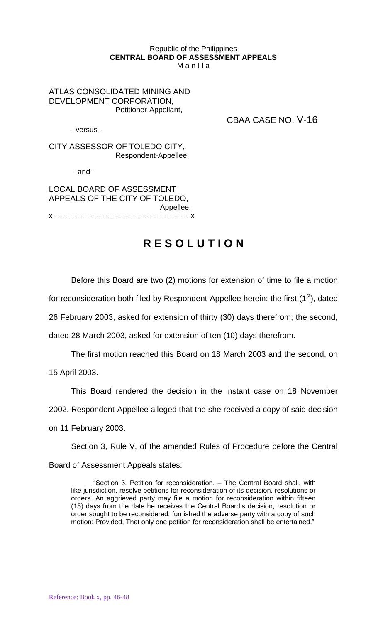## Republic of the Philippines **CENTRAL BOARD OF ASSESSMENT APPEALS** M a n I l a

ATLAS CONSOLIDATED MINING AND DEVELOPMENT CORPORATION, Petitioner-Appellant,

- versus -

CBAA CASE NO. V-16

CITY ASSESSOR OF TOLEDO CITY, Respondent-Appellee,

- and -

LOCAL BOARD OF ASSESSMENT APPEALS OF THE CITY OF TOLEDO, Appellee. x--------------------------------------------------------x

## **R E S O L U T I O N**

Before this Board are two (2) motions for extension of time to file a motion

for reconsideration both filed by Respondent-Appellee herein: the first  $(1<sup>st</sup>)$ , dated

26 February 2003, asked for extension of thirty (30) days therefrom; the second,

dated 28 March 2003, asked for extension of ten (10) days therefrom.

The first motion reached this Board on 18 March 2003 and the second, on 15 April 2003.

This Board rendered the decision in the instant case on 18 November

2002. Respondent-Appellee alleged that the she received a copy of said decision

on 11 February 2003.

Section 3, Rule V, of the amended Rules of Procedure before the Central

Board of Assessment Appeals states:

"Section 3. Petition for reconsideration. – The Central Board shall, with like jurisdiction, resolve petitions for reconsideration of its decision, resolutions or orders. An aggrieved party may file a motion for reconsideration within fifteen (15) days from the date he receives the Central Board's decision, resolution or order sought to be reconsidered, furnished the adverse party with a copy of such motion: Provided, That only one petition for reconsideration shall be entertained."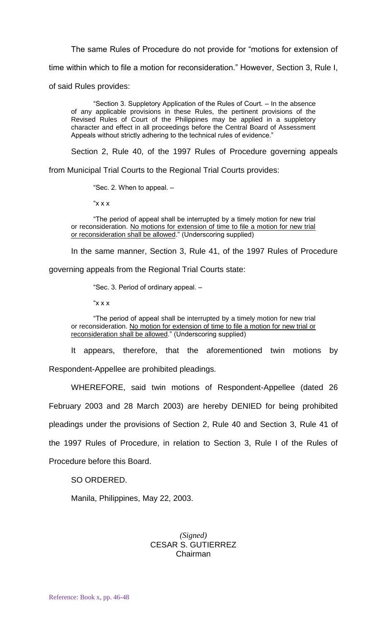The same Rules of Procedure do not provide for "motions for extension of

time within which to file a motion for reconsideration." However, Section 3, Rule I,

of said Rules provides:

"Section 3. Suppletory Application of the Rules of Court. – In the absence of any applicable provisions in these Rules, the pertinent provisions of the Revised Rules of Court of the Philippines may be applied in a suppletory character and effect in all proceedings before the Central Board of Assessment Appeals without strictly adhering to the technical rules of evidence."

Section 2, Rule 40, of the 1997 Rules of Procedure governing appeals

from Municipal Trial Courts to the Regional Trial Courts provides:

"Sec. 2. When to appeal. –

" $x x$ "

"The period of appeal shall be interrupted by a timely motion for new trial or reconsideration. No motions for extension of time to file a motion for new trial or reconsideration shall be allowed." (Underscoring supplied)

In the same manner, Section 3, Rule 41, of the 1997 Rules of Procedure

governing appeals from the Regional Trial Courts state:

"Sec. 3. Period of ordinary appeal. –

" $x x$ "

"The period of appeal shall be interrupted by a timely motion for new trial or reconsideration. No motion for extension of time to file a motion for new trial or reconsideration shall be allowed." (Underscoring supplied)

It appears, therefore, that the aforementioned twin motions by Respondent-Appellee are prohibited pleadings.

WHEREFORE, said twin motions of Respondent-Appellee (dated 26 February 2003 and 28 March 2003) are hereby DENIED for being prohibited pleadings under the provisions of Section 2, Rule 40 and Section 3, Rule 41 of the 1997 Rules of Procedure, in relation to Section 3, Rule I of the Rules of Procedure before this Board.

SO ORDERED.

Manila, Philippines, May 22, 2003.

## *(Signed)* CESAR S. GUTIERREZ Chairman